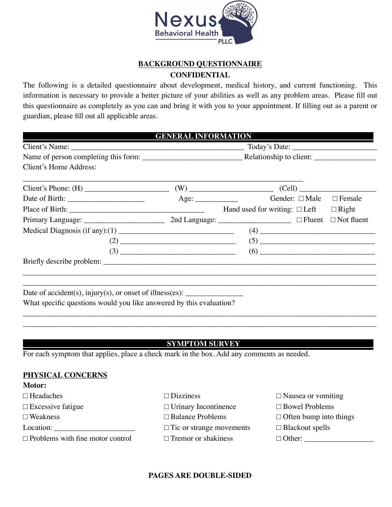

### **BACKGROUND QUESTIONNAIRE CONFIDENTIAL**

The following is a detailed questionnaire about development, medical history, and current functioning. This information is necessary to provide a better picture of your abilities as well as any problem areas. Please fill out this questionnaire as completely as you can and bring it with you to your appointment. If filling out as a parent or guardian, please fill out all applicable areas.

| Client's Home Address:                                                                      |  |                                    |  |                   |
|---------------------------------------------------------------------------------------------|--|------------------------------------|--|-------------------|
| Client's Phone: $(H)$ (W) (W) (Cell)                                                        |  |                                    |  |                   |
|                                                                                             |  |                                    |  | $\Box$ Female     |
|                                                                                             |  | Hand used for writing: $\Box$ Left |  | $\Box$ Right      |
|                                                                                             |  |                                    |  | $\Box$ Not fluent |
| Medical Diagnosis (if any):(1) $\_\_\_\_\_\_\_\_\_\_\_\_\_\_\_\_\_\_\_\_\_\_\_\_\_\_\_\_\_$ |  |                                    |  |                   |
|                                                                                             |  |                                    |  |                   |
|                                                                                             |  |                                    |  |                   |
|                                                                                             |  |                                    |  |                   |
|                                                                                             |  |                                    |  |                   |
|                                                                                             |  |                                    |  |                   |
| Date of accident(s), injury(s), or onset of illness(es): $\frac{1}{\sqrt{2\pi}}$            |  |                                    |  |                   |
| What specific questions would you like answered by this evaluation?                         |  |                                    |  |                   |

#### **SYMPTOM SURVEY**

\_\_\_\_\_\_\_\_\_\_\_\_\_\_\_\_\_\_\_\_\_\_\_\_\_\_\_\_\_\_\_\_\_\_\_\_\_\_\_\_\_\_\_\_\_\_\_\_\_\_\_\_\_\_\_\_\_\_\_\_\_\_\_\_\_\_\_\_\_\_\_\_\_\_\_\_\_\_\_\_\_\_\_\_\_\_\_\_\_\_\_\_

For each symptom that applies, place a check mark in the box. Add any comments as needed.

#### **PHYSICAL CONCERNS**

| <b>Motor:</b>                           |                                 |                               |
|-----------------------------------------|---------------------------------|-------------------------------|
| $\Box$ Headaches                        | $\Box$ Dizziness                | $\Box$ Nausea or vomiting     |
| $\Box$ Excessive fatigue                | $\Box$ Urinary Incontinence     | $\Box$ Bowel Problems         |
| $\Box$ Weakness                         | $\Box$ Balance Problems         | $\Box$ Often bump into things |
| Location:                               | $\Box$ Tic or strange movements | $\Box$ Blackout spells        |
| $\Box$ Problems with fine motor control | $\Box$ Tremor or shakiness      | $\Box$ Other:                 |

#### **PAGES ARE DOUBLE-SIDED**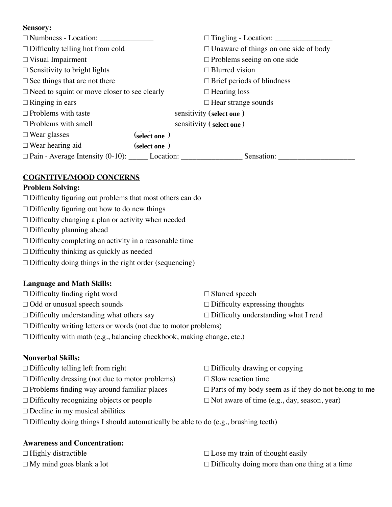#### **Sensory:**

| $\Box$ Numbness - Location: $\_\_\_\_\_\_\_\_\_\_\_\_\_\_\_\_\_\_\_$ |              | $\Box$ Tingling - Location: $\_\_\_\_\_\_\_\_\_\_\_\_\_\_\_\_\_\_\_\_\_\_$ |
|----------------------------------------------------------------------|--------------|----------------------------------------------------------------------------|
| $\Box$ Difficulty telling hot from cold                              |              | $\Box$ Unaware of things on one side of body                               |
| $\Box$ Visual Impairment                                             |              | $\Box$ Problems seeing on one side                                         |
| $\Box$ Sensitivity to bright lights                                  |              | $\Box$ Blurred vision                                                      |
| $\Box$ See things that are not there                                 |              | $\Box$ Brief periods of blindness                                          |
| $\Box$ Need to squint or move closer to see clearly                  |              | $\Box$ Hearing loss                                                        |
| $\Box$ Ringing in ears                                               |              | $\Box$ Hear strange sounds                                                 |
| $\Box$ Problems with taste                                           |              | sensitivity (select one)                                                   |
| $\Box$ Problems with smell                                           |              | sensitivity (select one)                                                   |
| $\Box$ Wear glasses                                                  | (select one) |                                                                            |
| $\Box$ Wear hearing aid                                              | (select one) |                                                                            |
|                                                                      |              | Sensation:                                                                 |
|                                                                      |              |                                                                            |

#### **COGNITIVE/MOOD CONCERNS**

#### **Problem Solving:**

- $\Box$  Difficulty figuring out problems that most others can do
- $\Box$  Difficulty figuring out how to do new things
- □ Difficulty changing a plan or activity when needed
- $\Box$  Difficulty planning ahead
- $\Box$  Difficulty completing an activity in a reasonable time
- □ Difficulty thinking as quickly as needed
- □ Difficulty doing things in the right order (sequencing)

#### **Language and Math Skills:**

| $\Box$ Difficulty finding right word            | $\Box$ Slurred speech                       |
|-------------------------------------------------|---------------------------------------------|
| $\Box$ Odd or unusual speech sounds             | $\Box$ Difficulty expressing thoughts       |
| $\Box$ Difficulty understanding what others say | $\Box$ Difficulty understanding what I read |

- $\Box$  Difficulty writing letters or words (not due to motor problems)
- $\Box$  Difficulty with math (e.g., balancing checkbook, making change, etc.)

# **Nonverbal Skills:**

| $\Box$ Difficulty telling left from right              | $\Box$ Difficulty drawing or copying                        |
|--------------------------------------------------------|-------------------------------------------------------------|
| $\Box$ Difficulty dressing (not due to motor problems) | $\Box$ Slow reaction time                                   |
| $\Box$ Problems finding way around familiar places     | $\Box$ Parts of my body seem as if they do not belong to me |
| $\Box$ Difficulty recognizing objects or people        | $\Box$ Not aware of time (e.g., day, season, year)          |
| $\Box$ Decline in my musical abilities                 |                                                             |
|                                                        |                                                             |

 $\Box$  Difficulty doing things I should automatically be able to do (e.g., brushing teeth)

#### **Awareness and Concentration:**

| $\Box$ Highly distractible      | $\Box$ Lose my train of thought easily                |
|---------------------------------|-------------------------------------------------------|
| $\Box$ My mind goes blank a lot | $\Box$ Difficulty doing more than one thing at a time |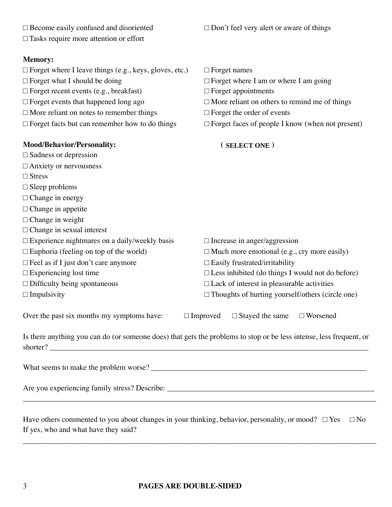| $\Box$ Become easily confused and disoriented                                                                                   | $\Box$ Don't feel very alert or aware of things            |
|---------------------------------------------------------------------------------------------------------------------------------|------------------------------------------------------------|
| $\Box$ Tasks require more attention or effort                                                                                   |                                                            |
| <b>Memory:</b>                                                                                                                  |                                                            |
| $\Box$ Forget where I leave things (e.g., keys, gloves, etc.)                                                                   | $\Box$ Forget names                                        |
| $\Box$ Forget what I should be doing                                                                                            | $\Box$ Forget where I am or where I am going               |
| $\Box$ Forget recent events (e.g., breakfast)                                                                                   | $\Box$ Forget appointments                                 |
| $\Box$ Forget events that happened long ago                                                                                     | $\Box$ More reliant on others to remind me of things       |
| $\Box$ More reliant on notes to remember things                                                                                 | $\Box$ Forget the order of events                          |
| $\Box$ Forget facts but can remember how to do things                                                                           | $\Box$ Forget faces of people I know (when not present)    |
| <b>Mood/Behavior/Personality:</b>                                                                                               | (SELECT ONE)                                               |
| $\Box$ Sadness or depression                                                                                                    |                                                            |
| $\Box$ Anxiety or nervousness                                                                                                   |                                                            |
| $\Box$ Stress                                                                                                                   |                                                            |
| $\Box$ Sleep problems                                                                                                           |                                                            |
| $\Box$ Change in energy                                                                                                         |                                                            |
| $\Box$ Change in appetite                                                                                                       |                                                            |
| $\Box$ Change in weight                                                                                                         |                                                            |
| $\Box$ Change in sexual interest                                                                                                |                                                            |
| $\Box$ Experience nightmares on a daily/weekly basis                                                                            | $\Box$ Increase in anger/aggression                        |
| $\Box$ Euphoria (feeling on top of the world)                                                                                   | $\Box$ Much more emotional (e.g., cry more easily)         |
| $\Box$ Feel as if I just don't care anymore                                                                                     | $\Box$ Easily frustrated/irritability                      |
| $\Box$ Experiencing lost time                                                                                                   | $\square$ Less inhibited (do things I would not do before) |
| $\Box$ Difficulty being spontaneous                                                                                             | $\Box$ Lack of interest in pleasurable activities          |
| $\Box$ Impulsivity                                                                                                              | $\Box$ Thoughts of hurting yourself/others (circle one)    |
| Over the past six months my symptoms have:                                                                                      | $\Box$ Improved $\Box$ Stayed the same<br>$\Box$ Worsened  |
| Is there anything you can do (or someone does) that gets the problems to stop or be less intense, less frequent, or<br>shorter? |                                                            |
|                                                                                                                                 |                                                            |
|                                                                                                                                 |                                                            |
| Have others commented to you about changes in your thinking, behavior, personality, or mood? $\Box$ Yes                         | $\Box$ No                                                  |

If yes, who and what have they said?

 $\overline{\phantom{a}}$  , and the contract of the contract of the contract of the contract of the contract of the contract of the contract of the contract of the contract of the contract of the contract of the contract of the contrac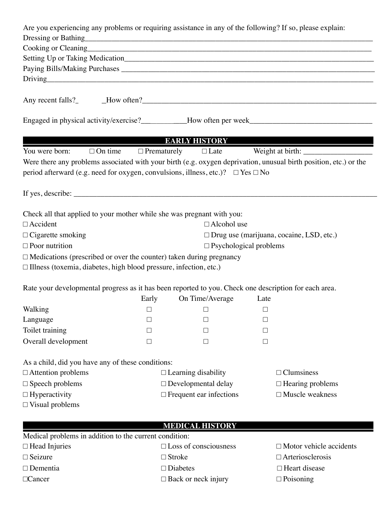| Are you experiencing any problems or requiring assistance in any of the following? If so, please explain:                                              |        |                                                               |               |                                                                                                                   |
|--------------------------------------------------------------------------------------------------------------------------------------------------------|--------|---------------------------------------------------------------|---------------|-------------------------------------------------------------------------------------------------------------------|
|                                                                                                                                                        |        |                                                               |               |                                                                                                                   |
|                                                                                                                                                        |        |                                                               |               | Cooking or Cleaning https://www.acceleration.com/                                                                 |
|                                                                                                                                                        |        |                                                               |               |                                                                                                                   |
|                                                                                                                                                        |        |                                                               |               |                                                                                                                   |
|                                                                                                                                                        |        |                                                               |               | Driving                                                                                                           |
|                                                                                                                                                        |        |                                                               |               |                                                                                                                   |
|                                                                                                                                                        |        |                                                               |               |                                                                                                                   |
|                                                                                                                                                        |        |                                                               |               | <b>EARLY HISTORY EARLY HISTORY</b>                                                                                |
| You were born:                                                                                                                                         |        | $\Box$ On time $\Box$ Prematurely $\Box$ Late                 |               |                                                                                                                   |
| period afterward (e.g. need for oxygen, convulsions, illness, etc.)? $\Box$ Yes $\Box$ No                                                              |        |                                                               |               | Were there any problems associated with your birth (e.g. oxygen deprivation, unusual birth position, etc.) or the |
|                                                                                                                                                        |        |                                                               |               |                                                                                                                   |
| Check all that applied to your mother while she was pregnant with you:                                                                                 |        |                                                               |               |                                                                                                                   |
| $\Box$ Accident                                                                                                                                        |        | $\Box$ Alcohol use                                            |               |                                                                                                                   |
| $\Box$ Cigarette smoking                                                                                                                               |        |                                                               |               | $\Box$ Drug use (marijuana, cocaine, LSD, etc.)                                                                   |
| $\Box$ Poor nutrition                                                                                                                                  |        | $\Box$ Psychological problems                                 |               |                                                                                                                   |
| $\Box$ Medications (prescribed or over the counter) taken during pregnancy<br>$\Box$ Illness (toxemia, diabetes, high blood pressure, infection, etc.) |        |                                                               |               |                                                                                                                   |
| Rate your developmental progress as it has been reported to you. Check one description for each area.                                                  |        |                                                               |               |                                                                                                                   |
|                                                                                                                                                        | Early  | On Time/Average                                               | Late          |                                                                                                                   |
| Walking                                                                                                                                                |        | $\Box$ and $\Box$ and $\Box$ and $\Box$ and $\Box$ and $\Box$ | $\qquad \Box$ |                                                                                                                   |
| Language<br>Toilet training                                                                                                                            |        |                                                               | $\mathsf{L}$  |                                                                                                                   |
|                                                                                                                                                        |        |                                                               | Ш             |                                                                                                                   |
| Overall development                                                                                                                                    | $\Box$ | $\Box$                                                        | $\Box$        |                                                                                                                   |
| As a child, did you have any of these conditions:                                                                                                      |        |                                                               |               |                                                                                                                   |
| $\Box$ Attention problems                                                                                                                              |        | $\Box$ Learning disability                                    |               | $\Box$ Clumsiness                                                                                                 |
| $\square$ Speech problems                                                                                                                              |        | $\Box$ Developmental delay<br>$\Box$ Hearing problems         |               |                                                                                                                   |
| $\Box$ Hyperactivity                                                                                                                                   |        | $\Box$ Frequent ear infections                                |               | $\Box$ Muscle weakness                                                                                            |
| $\Box$ Visual problems                                                                                                                                 |        |                                                               |               |                                                                                                                   |
|                                                                                                                                                        |        | <b>MEDICAL HISTORY</b>                                        |               |                                                                                                                   |
| Medical problems in addition to the current condition:                                                                                                 |        |                                                               |               |                                                                                                                   |
| $\Box$ Head Injuries                                                                                                                                   |        | $\square$ Loss of consciousness                               |               | $\Box$ Motor vehicle accidents                                                                                    |
| $\Box$ Seizure                                                                                                                                         |        | $\Box$ Stroke                                                 |               | $\Box$ Arteriosclerosis                                                                                           |
| $\Box$ Dementia                                                                                                                                        |        | $\square$ Diabetes                                            |               | □ Heart disease                                                                                                   |

 $\Box$ Cancer  $\Box$  Back or neck injury  $\Box$  Poisoning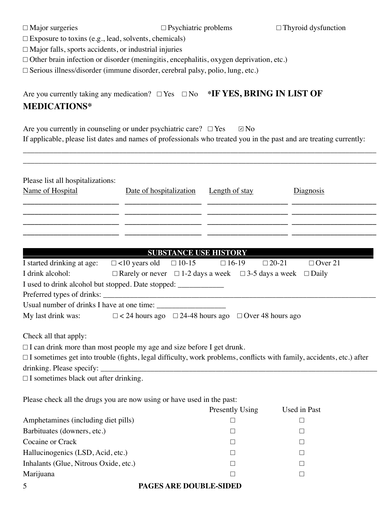| $\Box$ Major surgeries |
|------------------------|
|                        |

 $\square$  Exposure to toxins (e.g., lead, solvents, chemicals)

 $\Box$  Major falls, sports accidents, or industrial injuries

□ Other brain infection or disorder (meningitis, encephalitis, oxygen deprivation, etc.)

□ Serious illness/disorder (immune disorder, cerebral palsy, polio, lung, etc.)

# Are you currently taking any medication? □ Yes □ No **\*IF YES, BRING IN LIST OF MEDICATIONS\***

Are you currently in counseling or under psychiatric care?  $\Box$  Yes If applicable, please list dates and names of professionals who treated you in the past and are treating currently:  $\boxdot$  No

\_\_\_\_\_\_\_\_\_\_\_\_\_\_\_\_\_\_\_\_\_\_\_\_\_\_\_\_\_\_\_\_\_\_\_\_\_\_\_\_\_\_\_\_\_\_\_\_\_\_\_\_\_\_\_\_\_\_\_\_\_\_\_\_\_\_\_\_\_\_\_\_\_\_\_\_\_\_\_\_\_\_\_\_\_\_\_\_\_\_\_\_

| Please list all hospitalizations:<br>Name of Hospital                        | Date of hospitalization                                                           | <b>Length of stay</b> | Diagnosis                                                                                                                   |
|------------------------------------------------------------------------------|-----------------------------------------------------------------------------------|-----------------------|-----------------------------------------------------------------------------------------------------------------------------|
|                                                                              |                                                                                   |                       |                                                                                                                             |
|                                                                              |                                                                                   |                       |                                                                                                                             |
|                                                                              |                                                                                   |                       |                                                                                                                             |
|                                                                              |                                                                                   |                       |                                                                                                                             |
| I started drinking at age: $\Box$ <10 years old                              | <b>SUBSTANCE USE HISTORY</b><br>$\Box$ 10-15                                      | $\Box$ 16-19          | $\Box$ 20-21<br>$\Box$ Over 21                                                                                              |
| I drink alcohol:                                                             | $\Box$ Rarely or never $\Box$ 1-2 days a week $\Box$ 3-5 days a week $\Box$ Daily |                       |                                                                                                                             |
| I used to drink alcohol but stopped. Date stopped: _____________             |                                                                                   |                       |                                                                                                                             |
|                                                                              |                                                                                   |                       |                                                                                                                             |
|                                                                              |                                                                                   |                       |                                                                                                                             |
| My last drink was:                                                           | $\Box$ < 24 hours ago $\Box$ 24-48 hours ago $\Box$ Over 48 hours ago             |                       |                                                                                                                             |
| Check all that apply:                                                        |                                                                                   |                       |                                                                                                                             |
| $\Box$ I can drink more than most people my age and size before I get drunk. |                                                                                   |                       |                                                                                                                             |
|                                                                              |                                                                                   |                       | $\Box$ I sometimes get into trouble (fights, legal difficulty, work problems, conflicts with family, accidents, etc.) after |
| drinking. Please specify: _________                                          |                                                                                   |                       |                                                                                                                             |
| $\Box$ I sometimes black out after drinking.                                 |                                                                                   |                       |                                                                                                                             |
| Please check all the drugs you are now using or have used in the past:       |                                                                                   |                       |                                                                                                                             |
|                                                                              |                                                                                   | Presently Using       | Used in Past                                                                                                                |
| Amphetamines (including diet pills)                                          |                                                                                   | $\Box$                | $\Box$                                                                                                                      |
| Barbituates (downers, etc.)                                                  |                                                                                   | П                     | $\Box$                                                                                                                      |
| Cocaine or Crack                                                             |                                                                                   | $\Box$                | $\Box$                                                                                                                      |
| Hallucinogenics (LSD, Acid, etc.)                                            |                                                                                   | $\Box$                | $\Box$                                                                                                                      |
| Inhalants (Glue, Nitrous Oxide, etc.)                                        |                                                                                   | $\Box$                | □                                                                                                                           |

Marijuana □ □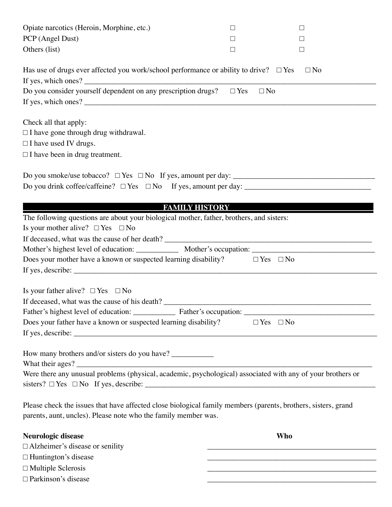| Opiate narcotics (Heroin, Morphine, etc.)                                                                     | $\Box$                | $\Box$                                                            |  |
|---------------------------------------------------------------------------------------------------------------|-----------------------|-------------------------------------------------------------------|--|
| PCP (Angel Dust)                                                                                              | □                     | $\Box$                                                            |  |
| Others (list)                                                                                                 | $\Box$                | $\Box$                                                            |  |
| Has use of drugs ever affected you work/school performance or ability to drive? $\square$ Yes                 |                       | $\Box$ No                                                         |  |
|                                                                                                               |                       |                                                                   |  |
| Do you consider yourself dependent on any prescription drugs? $\square$ Yes                                   |                       | $\Box$ No                                                         |  |
|                                                                                                               |                       |                                                                   |  |
| Check all that apply:                                                                                         |                       |                                                                   |  |
| $\Box$ I have gone through drug withdrawal.                                                                   |                       |                                                                   |  |
| $\Box$ I have used IV drugs.                                                                                  |                       |                                                                   |  |
| $\Box$ I have been in drug treatment.                                                                         |                       |                                                                   |  |
|                                                                                                               |                       |                                                                   |  |
|                                                                                                               |                       |                                                                   |  |
|                                                                                                               |                       |                                                                   |  |
|                                                                                                               | <b>FAMILY HISTORY</b> |                                                                   |  |
| The following questions are about your biological mother, father, brothers, and sisters:                      |                       |                                                                   |  |
| Is your mother alive? $\Box$ Yes $\Box$ No                                                                    |                       |                                                                   |  |
|                                                                                                               |                       |                                                                   |  |
|                                                                                                               |                       |                                                                   |  |
| Does your mother have a known or suspected learning disability? $\square$ Yes $\square$ No                    |                       |                                                                   |  |
|                                                                                                               |                       |                                                                   |  |
|                                                                                                               |                       |                                                                   |  |
| Is your father alive? $\Box$ Yes $\Box$ No                                                                    |                       |                                                                   |  |
| If deceased, what was the cause of his death?                                                                 |                       |                                                                   |  |
|                                                                                                               |                       |                                                                   |  |
| Does your father have a known or suspected learning disability?                                               |                       | $\Box$ Yes $\Box$ No                                              |  |
|                                                                                                               |                       |                                                                   |  |
| How many brothers and/or sisters do you have? ____________                                                    |                       |                                                                   |  |
| Were there any unusual problems (physical, academic, psychological) associated with any of your brothers or   |                       |                                                                   |  |
|                                                                                                               |                       |                                                                   |  |
|                                                                                                               |                       |                                                                   |  |
| Please check the issues that have affected close biological family members (parents, brothers, sisters, grand |                       |                                                                   |  |
| parents, aunt, uncles). Please note who the family member was.                                                |                       |                                                                   |  |
| Neurologic disease                                                                                            |                       | <b>Who</b>                                                        |  |
| $\Box$ Alzheimer's disease or senility                                                                        |                       |                                                                   |  |
| $\Box$ Huntington's disease                                                                                   |                       | <u> 1989 - Johann Barbara, margaret eta idazlearia (h. 1989).</u> |  |
| $\Box$ Multiple Sclerosis                                                                                     |                       |                                                                   |  |
| □ Parkinson's disease                                                                                         |                       |                                                                   |  |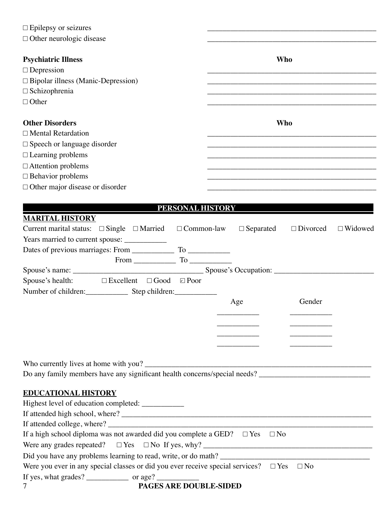| $\Box$ Epilepsy or seizures                                                                  |                                                       |
|----------------------------------------------------------------------------------------------|-------------------------------------------------------|
| $\Box$ Other neurologic disease                                                              |                                                       |
|                                                                                              |                                                       |
| <b>Psychiatric Illness</b>                                                                   | <b>Who</b>                                            |
| $\Box$ Depression                                                                            |                                                       |
| $\Box$ Bipolar illness (Manic-Depression)                                                    |                                                       |
| $\Box$ Schizophrenia                                                                         |                                                       |
| $\Box$ Other                                                                                 |                                                       |
| <b>Other Disorders</b>                                                                       | Who                                                   |
| $\Box$ Mental Retardation                                                                    |                                                       |
| $\square$ Speech or language disorder                                                        |                                                       |
| $\Box$ Learning problems                                                                     |                                                       |
| $\Box$ Attention problems                                                                    |                                                       |
| $\Box$ Behavior problems                                                                     |                                                       |
| $\Box$ Other major disease or disorder                                                       |                                                       |
|                                                                                              |                                                       |
|                                                                                              | PERSONAL HISTORY                                      |
| <b>MARITAL HISTORY</b>                                                                       |                                                       |
| Current marital status: $\square$ Single $\square$ Married $\square$ Common-law              | $\Box$ Separated<br>$\Box$ Divorced<br>$\Box$ Widowed |
|                                                                                              |                                                       |
|                                                                                              |                                                       |
|                                                                                              |                                                       |
|                                                                                              |                                                       |
| Spouse's health: $\square$ Excellent $\square$ Good $\square$ Poor                           |                                                       |
| Number of children: Step children:                                                           |                                                       |
|                                                                                              | Gender<br>Age                                         |
|                                                                                              |                                                       |
|                                                                                              |                                                       |
|                                                                                              |                                                       |
|                                                                                              |                                                       |
|                                                                                              |                                                       |
|                                                                                              |                                                       |
|                                                                                              |                                                       |
| <b>EDUCATIONAL HISTORY</b>                                                                   |                                                       |
| Highest level of education completed: ___________                                            |                                                       |
|                                                                                              |                                                       |
|                                                                                              |                                                       |
| If a high school diploma was not awarded did you complete a GED? $\square$ Yes $\square$ No  |                                                       |
|                                                                                              |                                                       |
|                                                                                              |                                                       |
| Were you ever in any special classes or did you ever receive special services? $\square$ Yes | $\Box$ No                                             |
|                                                                                              |                                                       |
| PAGES ARE DOUBLE-SIDED                                                                       |                                                       |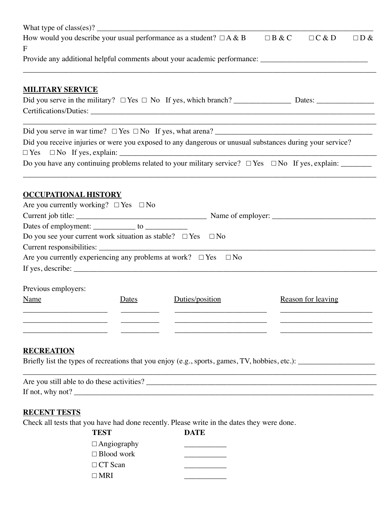|                                                                                                     |       | How would you describe your usual performance as a student? $\Box A \& B$                                | $\Box B \& C$ | $\Box C & D$                                                                                                         | $\Box$ D & |  |  |
|-----------------------------------------------------------------------------------------------------|-------|----------------------------------------------------------------------------------------------------------|---------------|----------------------------------------------------------------------------------------------------------------------|------------|--|--|
| F                                                                                                   |       |                                                                                                          |               |                                                                                                                      |            |  |  |
| Provide any additional helpful comments about your academic performance: __________________________ |       |                                                                                                          |               |                                                                                                                      |            |  |  |
| <b>MILITARY SERVICE</b>                                                                             |       |                                                                                                          |               |                                                                                                                      |            |  |  |
|                                                                                                     |       |                                                                                                          |               |                                                                                                                      |            |  |  |
|                                                                                                     |       |                                                                                                          |               |                                                                                                                      |            |  |  |
|                                                                                                     |       |                                                                                                          |               | <u> 2000 - Jan James James Jan James James Jan James James Jan James James Jan Jan James Jan Jan Jan Jan Jan Jan</u> |            |  |  |
|                                                                                                     |       | Did you receive injuries or were you exposed to any dangerous or unusual substances during your service? |               |                                                                                                                      |            |  |  |
|                                                                                                     |       |                                                                                                          |               |                                                                                                                      |            |  |  |
|                                                                                                     |       |                                                                                                          |               |                                                                                                                      |            |  |  |
| <b>OCCUPATIONAL HISTORY</b>                                                                         |       |                                                                                                          |               |                                                                                                                      |            |  |  |
| Are you currently working? $\Box$ Yes $\Box$ No                                                     |       |                                                                                                          |               |                                                                                                                      |            |  |  |
|                                                                                                     |       |                                                                                                          |               |                                                                                                                      |            |  |  |
|                                                                                                     |       |                                                                                                          |               |                                                                                                                      |            |  |  |
| Do you see your current work situation as stable? $\Box$ Yes $\Box$ No                              |       |                                                                                                          |               |                                                                                                                      |            |  |  |
|                                                                                                     |       |                                                                                                          |               |                                                                                                                      |            |  |  |
|                                                                                                     |       | Are you currently experiencing any problems at work? $\Box$ Yes $\Box$ No                                |               |                                                                                                                      |            |  |  |
|                                                                                                     |       | If yes, describe: $\frac{1}{2}$ describe:                                                                |               |                                                                                                                      |            |  |  |
| Previous employers:                                                                                 |       |                                                                                                          |               |                                                                                                                      |            |  |  |
| Name                                                                                                | Dates | Duties/position                                                                                          |               | Reason for leaving                                                                                                   |            |  |  |
|                                                                                                     |       |                                                                                                          |               |                                                                                                                      |            |  |  |
|                                                                                                     |       |                                                                                                          |               |                                                                                                                      |            |  |  |
|                                                                                                     |       |                                                                                                          |               |                                                                                                                      |            |  |  |
| <b>RECREATION</b>                                                                                   |       |                                                                                                          |               |                                                                                                                      |            |  |  |
|                                                                                                     |       |                                                                                                          |               |                                                                                                                      |            |  |  |
|                                                                                                     |       |                                                                                                          |               |                                                                                                                      |            |  |  |
|                                                                                                     |       |                                                                                                          |               |                                                                                                                      |            |  |  |
|                                                                                                     |       |                                                                                                          |               |                                                                                                                      |            |  |  |

## **RECENT TESTS**

Check all tests that you have had done recently. Please write in the dates they were done.

**TEST DATE**  $\Box$  Angiography  $\square$  Blood work  $\Box$  CT Scan  $\Box$  $\square$  MRI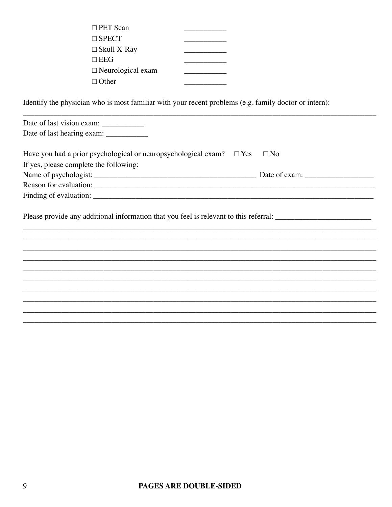| $\Box$ PET Scan          |  |
|--------------------------|--|
| $\Box$ SPECT             |  |
| $\Box$ Skull X-Ray       |  |
| $\square$ EEG            |  |
| $\Box$ Neurological exam |  |
| $\Box$ Other             |  |
|                          |  |

Identify the physician who is most familiar with your recent problems (e.g. family doctor or intern):

| Have you had a prior psychological or neuropsychological exam? $\square$ Yes                                   | $\Box$ No |  |  |  |
|----------------------------------------------------------------------------------------------------------------|-----------|--|--|--|
| If yes, please complete the following:                                                                         |           |  |  |  |
|                                                                                                                |           |  |  |  |
|                                                                                                                |           |  |  |  |
|                                                                                                                |           |  |  |  |
| Please provide any additional information that you feel is relevant to this referral: ________________________ |           |  |  |  |
|                                                                                                                |           |  |  |  |
|                                                                                                                |           |  |  |  |
|                                                                                                                |           |  |  |  |
|                                                                                                                |           |  |  |  |
|                                                                                                                |           |  |  |  |
|                                                                                                                |           |  |  |  |
|                                                                                                                |           |  |  |  |
|                                                                                                                |           |  |  |  |
|                                                                                                                |           |  |  |  |